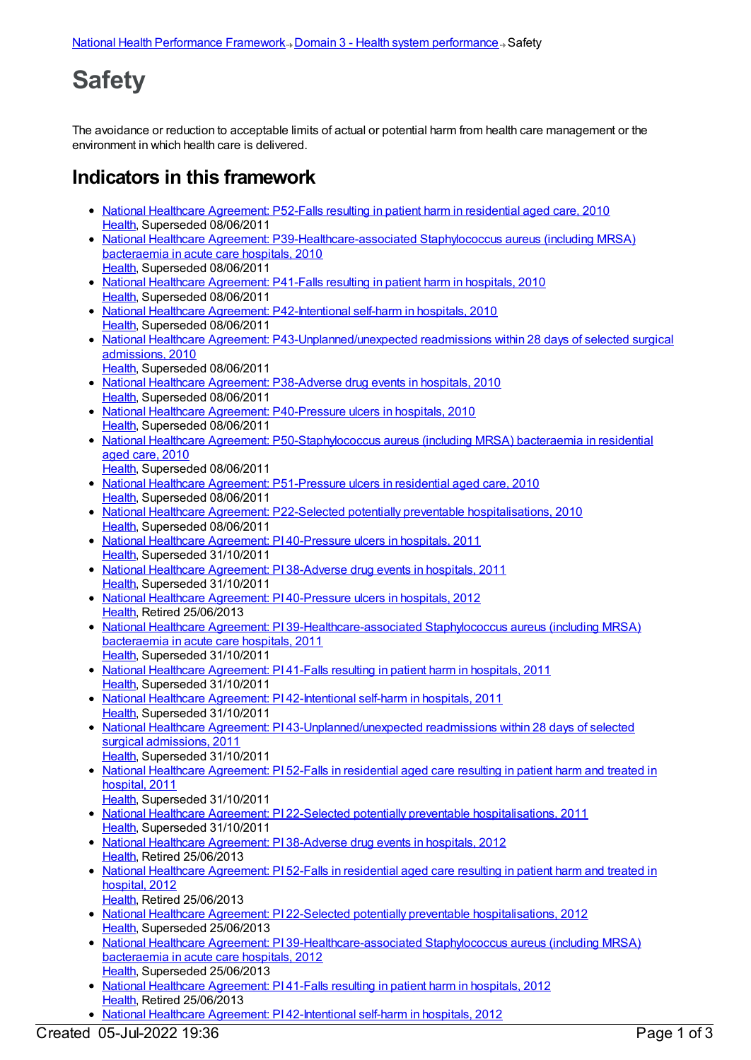## **Safety**

The avoidance or reduction to acceptable limits of actual or potential harm from health care management or the environment in which health care is delivered.

## **Indicators in this framework**

- National Healthcare [Agreement:](https://meteor.aihw.gov.au/content/400209) P52-Falls resulting in patient harm in residential aged care, 2010 [Health](https://meteor.aihw.gov.au/RegistrationAuthority/12), Superseded 08/06/2011
- National Healthcare Agreement: [P39-Healthcare-associated](https://meteor.aihw.gov.au/content/395068) Staphylococcus aureus (including MRSA) bacteraemia in acute care hospitals, 2010 [Health](https://meteor.aihw.gov.au/RegistrationAuthority/12), Superseded 08/06/2011
- National Healthcare [Agreement:](https://meteor.aihw.gov.au/content/395076) P41-Falls resulting in patient harm in hospitals, 2010 [Health](https://meteor.aihw.gov.au/RegistrationAuthority/12), Superseded 08/06/2011
- National Healthcare Agreement: [P42-Intentional](https://meteor.aihw.gov.au/content/395079) self-harm in hospitals, 2010 [Health](https://meteor.aihw.gov.au/RegistrationAuthority/12), Superseded 08/06/2011
- National Healthcare Agreement: [P43-Unplanned/unexpected](https://meteor.aihw.gov.au/content/395081) readmissions within 28 days of selected surgical admissions, 2010 [Health](https://meteor.aihw.gov.au/RegistrationAuthority/12), Superseded 08/06/2011
- National Healthcare Agreement: [P38-Adverse](https://meteor.aihw.gov.au/content/395066) drug events in hospitals, 2010 [Health](https://meteor.aihw.gov.au/RegistrationAuthority/12), Superseded 08/06/2011
- National Healthcare Agreement: [P40-Pressure](https://meteor.aihw.gov.au/content/395073) ulcers in hospitals, 2010 [Health](https://meteor.aihw.gov.au/RegistrationAuthority/12), Superseded 08/06/2011
- National Healthcare Agreement: [P50-Staphylococcus](https://meteor.aihw.gov.au/content/400137) aureus (including MRSA) bacteraemia in residential aged care, 2010
	- [Health](https://meteor.aihw.gov.au/RegistrationAuthority/12), Superseded 08/06/2011
- National Healthcare Agreement: [P51-Pressure](https://meteor.aihw.gov.au/content/400157) ulcers in residential aged care, 2010 [Health](https://meteor.aihw.gov.au/RegistrationAuthority/12), Superseded 08/06/2011
- National Healthcare Agreement: P22-Selected potentially preventable [hospitalisations,](https://meteor.aihw.gov.au/content/394719) 2010 [Health](https://meteor.aihw.gov.au/RegistrationAuthority/12), Superseded 08/06/2011
- National Healthcare Agreement: PI [40-Pressure](https://meteor.aihw.gov.au/content/403136) ulcers in hospitals, 2011 [Health](https://meteor.aihw.gov.au/RegistrationAuthority/12), Superseded 31/10/2011
- National Healthcare [Agreement:](https://meteor.aihw.gov.au/content/403062) PI 38-Adverse drug events in hospitals, 2011 [Health](https://meteor.aihw.gov.au/RegistrationAuthority/12), Superseded 31/10/2011
- National Healthcare Agreement: PI [40-Pressure](https://meteor.aihw.gov.au/content/443703) ulcers in hospitals, 2012 [Health](https://meteor.aihw.gov.au/RegistrationAuthority/12), Retired 25/06/2013
- National Healthcare Agreement: PI [39-Healthcare-associated](https://meteor.aihw.gov.au/content/421616) Staphylococcus aureus (including MRSA) bacteraemia in acute care hospitals, 2011 [Health](https://meteor.aihw.gov.au/RegistrationAuthority/12), Superseded 31/10/2011
- National Healthcare [Agreement:](https://meteor.aihw.gov.au/content/421611) PI 41-Falls resulting in patient harm in hospitals, 2011 [Health](https://meteor.aihw.gov.au/RegistrationAuthority/12), Superseded 31/10/2011
- National Healthcare Agreement: PI [42-Intentional](https://meteor.aihw.gov.au/content/421609) self-harm in hospitals, 2011 [Health](https://meteor.aihw.gov.au/RegistrationAuthority/12), Superseded 31/10/2011
- National Healthcare Agreement: PI [43-Unplanned/unexpected](https://meteor.aihw.gov.au/content/421607) readmissions within 28 days of selected surgical admissions, 2011 [Health](https://meteor.aihw.gov.au/RegistrationAuthority/12), Superseded 31/10/2011
- National Healthcare [Agreement:](https://meteor.aihw.gov.au/content/421559) PI 52-Falls in residential aged care resulting in patient harm and treated in hospital, 2011
- [Health](https://meteor.aihw.gov.au/RegistrationAuthority/12), Superseded 31/10/2011 • National Healthcare Agreement: PI 22-Selected potentially preventable [hospitalisations,](https://meteor.aihw.gov.au/content/421649) 2011 [Health](https://meteor.aihw.gov.au/RegistrationAuthority/12), Superseded 31/10/2011
- National Healthcare [Agreement:](https://meteor.aihw.gov.au/content/443695) PI 38-Adverse drug events in hospitals, 2012 [Health](https://meteor.aihw.gov.au/RegistrationAuthority/12), Retired 25/06/2013
- National Healthcare [Agreement:](https://meteor.aihw.gov.au/content/435893) PI 52-Falls in residential aged care resulting in patient harm and treated in hospital, 2012
- [Health](https://meteor.aihw.gov.au/RegistrationAuthority/12), Retired 25/06/2013 • National Healthcare Agreement: PI 22-Selected potentially preventable [hospitalisations,](https://meteor.aihw.gov.au/content/443687) 2012 [Health](https://meteor.aihw.gov.au/RegistrationAuthority/12), Superseded 25/06/2013
- National Healthcare Agreement: PI [39-Healthcare-associated](https://meteor.aihw.gov.au/content/443699) Staphylococcus aureus (including MRSA) bacteraemia in acute care hospitals, 2012 [Health](https://meteor.aihw.gov.au/RegistrationAuthority/12), Superseded 25/06/2013
- National Healthcare [Agreement:](https://meteor.aihw.gov.au/content/443705) PI 41-Falls resulting in patient harm in hospitals, 2012 [Health](https://meteor.aihw.gov.au/RegistrationAuthority/12), Retired 25/06/2013
- National Healthcare Agreement: PI [42-Intentional](https://meteor.aihw.gov.au/content/443709) self-harm in hospitals, 2012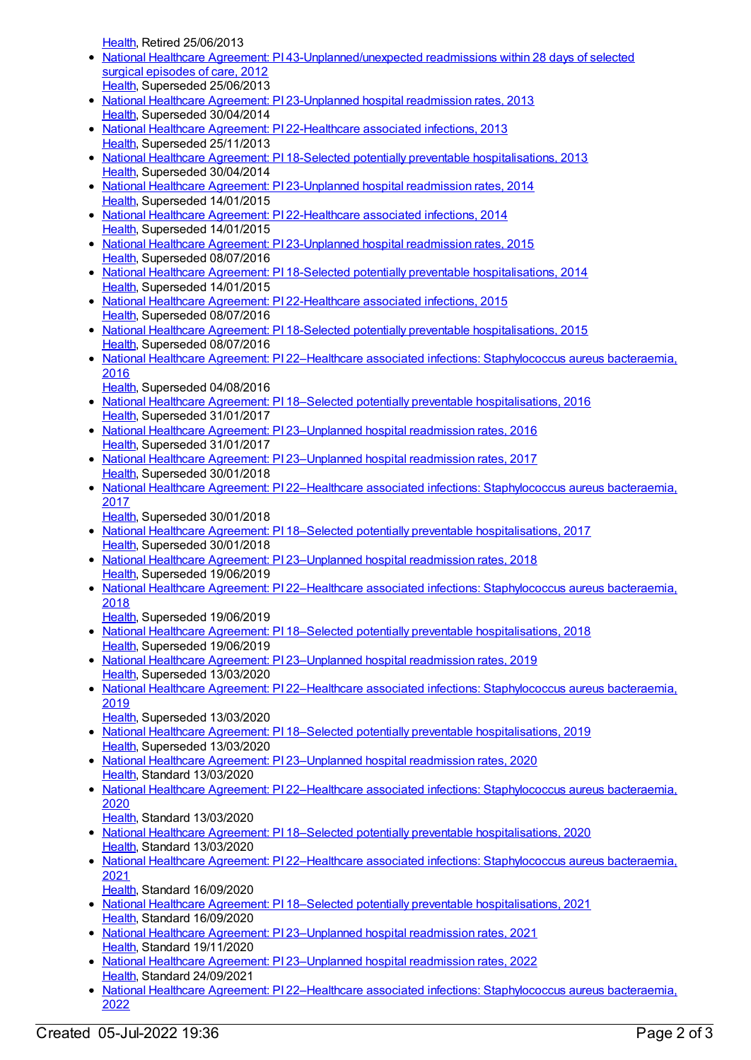[Health](https://meteor.aihw.gov.au/RegistrationAuthority/12), Retired 25/06/2013

- National Healthcare Agreement: PI [43-Unplanned/unexpected](https://meteor.aihw.gov.au/content/443711) readmissions within 28 days of selected surgical episodes of care, 2012 [Health](https://meteor.aihw.gov.au/RegistrationAuthority/12), Superseded 25/06/2013
- National Healthcare Agreement: PI [23-Unplanned](https://meteor.aihw.gov.au/content/497129) hospital readmission rates, 2013 [Health](https://meteor.aihw.gov.au/RegistrationAuthority/12), Superseded 30/04/2014
- National Healthcare Agreement: PI [22-Healthcare](https://meteor.aihw.gov.au/content/497153) associated infections, 2013 [Health](https://meteor.aihw.gov.au/RegistrationAuthority/12), Superseded 25/11/2013
- National Healthcare Agreement: PI 18-Selected potentially preventable [hospitalisations,](https://meteor.aihw.gov.au/content/497224) 2013 [Health](https://meteor.aihw.gov.au/RegistrationAuthority/12), Superseded 30/04/2014
- National Healthcare Agreement: PI [23-Unplanned](https://meteor.aihw.gov.au/content/517634) hospital readmission rates, 2014 [Health](https://meteor.aihw.gov.au/RegistrationAuthority/12), Superseded 14/01/2015
- National Healthcare Agreement: PI [22-Healthcare](https://meteor.aihw.gov.au/content/517636) associated infections, 2014 [Health](https://meteor.aihw.gov.au/RegistrationAuthority/12), Superseded 14/01/2015
- National Healthcare Agreement: PI [23-Unplanned](https://meteor.aihw.gov.au/content/559020) hospital readmission rates, 2015 [Health](https://meteor.aihw.gov.au/RegistrationAuthority/12), Superseded 08/07/2016
- National Healthcare Agreement: PI 18-Selected potentially preventable [hospitalisations,](https://meteor.aihw.gov.au/content/517648) 2014 [Health](https://meteor.aihw.gov.au/RegistrationAuthority/12), Superseded 14/01/2015
- National Healthcare Agreement: PI [22-Healthcare](https://meteor.aihw.gov.au/content/559022) associated infections, 2015 [Health](https://meteor.aihw.gov.au/RegistrationAuthority/12), Superseded 08/07/2016
- National Healthcare Agreement: PI 18-Selected potentially preventable [hospitalisations,](https://meteor.aihw.gov.au/content/559032) 2015 [Health](https://meteor.aihw.gov.au/RegistrationAuthority/12), Superseded 08/07/2016
- National Healthcare Agreement: PI 22–Healthcare associated infections: [Staphylococcus](https://meteor.aihw.gov.au/content/598734) aureus bacteraemia, 2016
- [Health](https://meteor.aihw.gov.au/RegistrationAuthority/12), Superseded 04/08/2016
- National Healthcare Agreement: PI 18–Selected potentially preventable [hospitalisations,](https://meteor.aihw.gov.au/content/598746) 2016 [Health](https://meteor.aihw.gov.au/RegistrationAuthority/12), Superseded 31/01/2017
- National Healthcare Agreement: PI [23–Unplanned](https://meteor.aihw.gov.au/content/598732) hospital readmission rates, 2016 [Health](https://meteor.aihw.gov.au/RegistrationAuthority/12), Superseded 31/01/2017
- National Healthcare Agreement: PI [23–Unplanned](https://meteor.aihw.gov.au/content/630049) hospital readmission rates, 2017 [Health](https://meteor.aihw.gov.au/RegistrationAuthority/12), Superseded 30/01/2018
- National Healthcare Agreement: PI 22–Healthcare associated infections: [Staphylococcus](https://meteor.aihw.gov.au/content/630047) aureus bacteraemia, 2017
- [Health](https://meteor.aihw.gov.au/RegistrationAuthority/12), Superseded 30/01/2018
- National Healthcare Agreement: PI 18–Selected potentially preventable [hospitalisations,](https://meteor.aihw.gov.au/content/630028) 2017 [Health](https://meteor.aihw.gov.au/RegistrationAuthority/12), Superseded 30/01/2018
- National Healthcare Agreement: PI [23–Unplanned](https://meteor.aihw.gov.au/content/658485) hospital readmission rates, 2018 [Health](https://meteor.aihw.gov.au/RegistrationAuthority/12), Superseded 19/06/2019
- National Healthcare Agreement: PI 22–Healthcare associated infections: [Staphylococcus](https://meteor.aihw.gov.au/content/658487) aureus bacteraemia, 2018
- [Health](https://meteor.aihw.gov.au/RegistrationAuthority/12), Superseded 19/06/2019
- National Healthcare Agreement: PI 18–Selected potentially preventable [hospitalisations,](https://meteor.aihw.gov.au/content/658499) 2018 [Health](https://meteor.aihw.gov.au/RegistrationAuthority/12), Superseded 19/06/2019
- National Healthcare Agreement: PI [23–Unplanned](https://meteor.aihw.gov.au/content/698890) hospital readmission rates, 2019 [Health](https://meteor.aihw.gov.au/RegistrationAuthority/12), Superseded 13/03/2020
- National Healthcare Agreement: PI 22–Healthcare associated infections: [Staphylococcus](https://meteor.aihw.gov.au/content/698892) aureus bacteraemia, 2019
	- [Health](https://meteor.aihw.gov.au/RegistrationAuthority/12), Superseded 13/03/2020
- National Healthcare Agreement: PI 18–Selected potentially preventable [hospitalisations,](https://meteor.aihw.gov.au/content/698904) 2019 [Health](https://meteor.aihw.gov.au/RegistrationAuthority/12), Superseded 13/03/2020
- National Healthcare Agreement: PI [23–Unplanned](https://meteor.aihw.gov.au/content/716786) hospital readmission rates, 2020 [Health](https://meteor.aihw.gov.au/RegistrationAuthority/12), Standard 13/03/2020
- National Healthcare Agreement: PI 22–Healthcare associated infections: [Staphylococcus](https://meteor.aihw.gov.au/content/716702) aureus bacteraemia, 2020
	- [Health](https://meteor.aihw.gov.au/RegistrationAuthority/12), Standard 13/03/2020
- National Healthcare Agreement: PI 18–Selected potentially preventable [hospitalisations,](https://meteor.aihw.gov.au/content/716530) 2020 [Health](https://meteor.aihw.gov.au/RegistrationAuthority/12), Standard 13/03/2020
- National Healthcare Agreement: PI 22–Healthcare associated infections: [Staphylococcus](https://meteor.aihw.gov.au/content/725781) aureus bacteraemia, 2021
	- [Health](https://meteor.aihw.gov.au/RegistrationAuthority/12), Standard 16/09/2020
- National Healthcare Agreement: PI 18–Selected potentially preventable [hospitalisations,](https://meteor.aihw.gov.au/content/725793) 2021 [Health](https://meteor.aihw.gov.au/RegistrationAuthority/12), Standard 16/09/2020
- National Healthcare Agreement: PI [23–Unplanned](https://meteor.aihw.gov.au/content/725779) hospital readmission rates, 2021 [Health](https://meteor.aihw.gov.au/RegistrationAuthority/12), Standard 19/11/2020
- National Healthcare Agreement: PI [23–Unplanned](https://meteor.aihw.gov.au/content/742756) hospital readmission rates, 2022 [Health](https://meteor.aihw.gov.au/RegistrationAuthority/12), Standard 24/09/2021
- National Healthcare Agreement: PI 22–Healthcare associated infections: [Staphylococcus](https://meteor.aihw.gov.au/content/740834) aureus bacteraemia, 2022